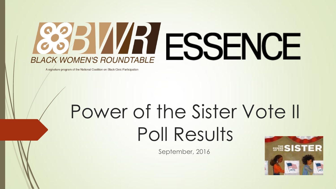# **VRESSEN BLACK WOMEN'S ROUNDTABLE**

A signature program of the National Coalition on Black Civic Participation

## Power of the Sister Vote II Poll Results

September, 2016

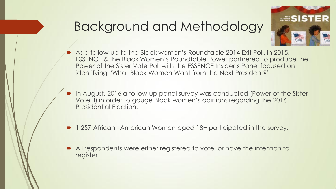## Background and Methodology



- As a follow-up to the Black women's Roundtable 2014 Exit Poll, in 2015, ESSENCE & the Black Women's Roundtable Power partnered to produce the Power of the Sister Vote Poll with the ESSENCE Insider's Panel focused on identifying "What Black Women Want from the Next President?"
- In August, 2016 a follow-up panel survey was conducted (Power of the Sister Vote II) in order to gauge Black women's opinions regarding the 2016 Presidential Election.
- 1,257 African –American Women aged 18+ participated in the survey.
- All respondents were either registered to vote, or have the intention to register.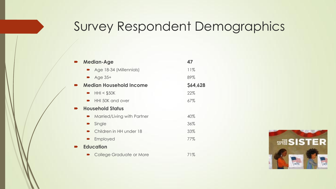## Survey Respondent Demographics

| <b>Median-Age</b>              | 47       |
|--------------------------------|----------|
| Age 18-34 (Millennials)        | 11%      |
| $\blacktriangleright$ Age 35+  | 89%      |
| <b>Median Household Income</b> | \$64,628 |
| HHI < \$50K                    | 22%      |
| HHI 50K and over               | 67%      |
| <b>Household Status</b>        |          |
| Married/Living with Partner    | 40%      |
| Single                         | 36%      |
| • Children in HH under 18      | 33%      |
| Employed                       | 77%      |
| <b>Education</b>               |          |
| College Graduate or More       | 71%      |

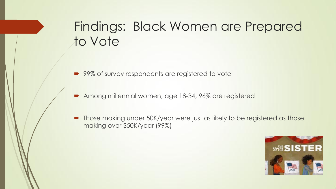## Findings: Black Women are Prepared to Vote

■ 99% of survey respondents are registered to vote

Among millennial women, age 18-34, 96% are registered

• Those making under 50K/year were just as likely to be registered as those making over \$50K/year (99%)

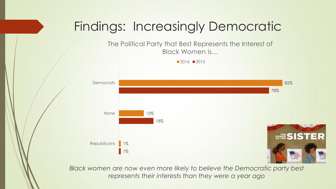## Findings: Increasingly Democratic

The Political Party that Best Represents the Interest of Black Women is…





Black women are now even more likely to believe the Democratic party best *represents their interests than they were a year ago*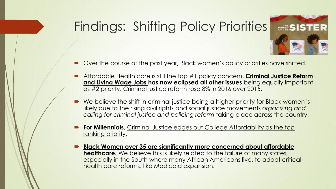## Findings: Shifting Policy Priorities

- **so SIST**
- Over the course of the past year, Black women's policy priorities have shifted.
- Affordable Health care is still the top #1 policy concern, **Criminal Justice Reform and Living Wage Jobs has now eclipsed all other issues** being equally important as #2 priority. Criminal justice reform rose 8% in 2016 over 2015.
- We believe the shift in criminal justice being a higher priority for Black women is likely due to the rising civil rights and social justice movements *organizing and calling for criminal justice and policing reform* taking place across the country.
- **For Millennials**, Criminal Justice edges out College Affordability as the top ranking priority.
- **Black Women over 35 are significantly more concerned about affordable healthcare.** We believe this is likely related to the failure of many states, especially in the South where many African Americans live, to adopt critical health care reforms, like Medicaid expansion.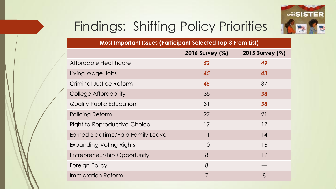

## Findings: Shifting Policy Priorities

| Most Important Issues (Participant Selected Top 3 From List) |                 |                 |  |
|--------------------------------------------------------------|-----------------|-----------------|--|
|                                                              | 2016 Survey (%) | 2015 Survey (%) |  |
| Affordable Healthcare                                        | 52              | 49              |  |
| Living Wage Jobs                                             | 45              | 43              |  |
| Criminal Justice Reform                                      | 45              | 37              |  |
| College Affordability                                        | 35              | 38              |  |
| <b>Quality Public Education</b>                              | 31              | 38              |  |
| Policing Reform                                              | 27              | 21              |  |
| <b>Right to Reproductive Choice</b>                          | 17              | 17              |  |
| Earned Sick Time/Paid Family Leave                           | $  \cdot  $     | 14              |  |
| <b>Expanding Voting Rights</b>                               | 10              | 16              |  |
| <b>Entrepreneurship Opportunity</b>                          | 8               | 12              |  |
| Foreign Policy                                               | 8               |                 |  |
| <b>Immigration Reform</b>                                    | 7               | 8               |  |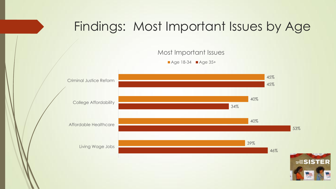## Findings: Most Important Issues by Age





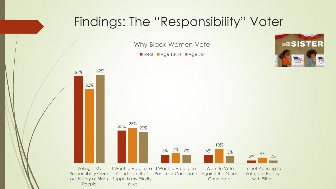### Findings: The "Responsibility" Voter

Why Black Women Vote

■ Total ■ Age 18-34 ■ Age 35+



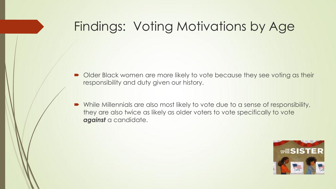## Findings: Voting Motivations by Age

- Older Black women are more likely to vote because they see voting as their responsibility and duty given our history.
- While Millennials are also most likely to vote due to a sense of responsibility, they are also twice as likely as older voters to vote specifically to vote *against* a candidate.

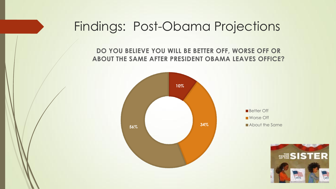## Findings: Post-Obama Projections

**DO YOU BELIEVE YOU WILL BE BETTER OFF, WORSE OFF OR ABOUT THE SAME AFTER PRESIDENT OBAMA LEAVES OFFICE?**



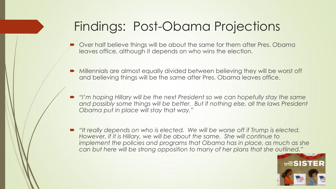## Findings: Post-Obama Projections

- Over half believe things will be about the same for them after Pres. Obama leaves office, although it depends on who wins the election.
- Millennials are almost equally divided between believing they will be worst off and believing things will be the same after Pres. Obama leaves office.
- *If* I'm hoping Hillary will be the next President so we can hopefully stay the same and possibly some things will be better. But if nothing else, all the laws President *Obama put in place will stay that way."*
- *"It really depends on who is elected. We will be worse off if Trump is elected. However, if it is Hillary, we will be about the same. She will continue to implement the policies and programs that Obama has in place, as much as she can but here will be strong opposition to many of her plans that she outlined."*